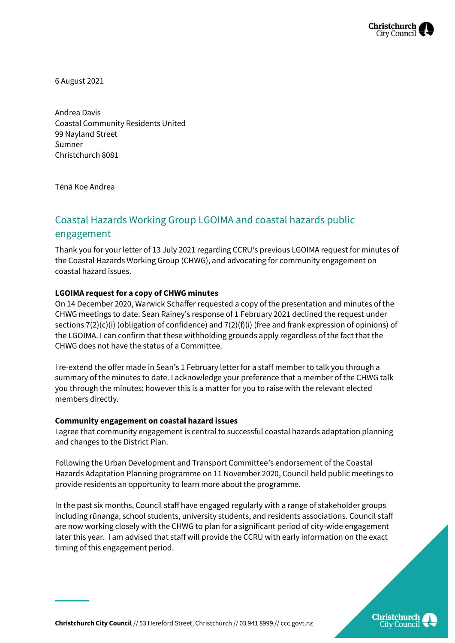

6 August 2021

Andrea Davis Coastal Community Residents United 99 Nayland Street Sumner Christchurch 8081

Tēnā Koe Andrea

## Coastal Hazards Working Group LGOIMA and coastal hazards public engagement

Thank you for your letter of 13 July 2021 regarding CCRU's previous LGOIMA request for minutes of the Coastal Hazards Working Group (CHWG), and advocating for community engagement on coastal hazard issues.

## **LGOIMA request for a copy of CHWG minutes**

On 14 December 2020, Warwick Schaffer requested a copy of the presentation and minutes of the CHWG meetings to date. Sean Rainey's response of 1 February 2021 declined the request under sections 7(2)(c)(i) (obligation of confidence) and 7(2)(f)(i) (free and frank expression of opinions) of the LGOIMA. I can confirm that these withholding grounds apply regardless of the fact that the CHWG does not have the status of a Committee.

I re-extend the offer made in Sean's 1 February letter for a staff member to talk you through a summary of the minutes to date. I acknowledge your preference that a member of the CHWG talk you through the minutes; however this is a matter for you to raise with the relevant elected members directly.

## **Community engagement on coastal hazard issues**

I agree that community engagement is central to successful coastal hazards adaptation planning and changes to the District Plan.

Following the Urban Development and Transport Committee's endorsement of the Coastal Hazards Adaptation Planning programme on 11 November 2020, Council held public meetings to provide residents an opportunity to learn more about the programme.

In the past six months, Council staff have engaged regularly with a range of stakeholder groups including rūnanga, school students, university students, and residents associations. Council staff are now working closely with the CHWG to plan for a significant period of city-wide engagement later this year. I am advised that staff will provide the CCRU with early information on the exact timing of this engagement period.